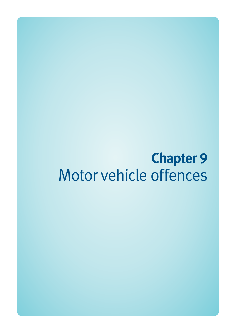# **Chapter 9**  Motor vehicle offences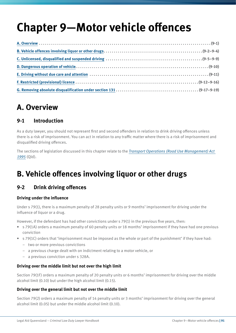# **Chapter 9—Motor vehicle offences**

# **A. Overview**

## **9-1 Introduction**

As a duty lawyer, you should not represent first and second offenders in relation to drink driving offences unless there is a risk of imprisonment. You can act in relation to any traffic matter where there is a risk of imprisonment and disqualified driving offences.

The sections of legislation discussed in this chapter relate to the *[Transport Operations \(Road Use Management\) Act](http://www.legislation.qld.gov.au/LEGISLTN/CURRENT/T/TrantOpRUA95.pdf)  [1995](http://www.legislation.qld.gov.au/LEGISLTN/CURRENT/T/TrantOpRUA95.pdf)* (Qld).

# **B. Vehicle offences involving liquor or other drugs**

# **9-2 Drink driving offences**

#### **Driving under the influence**

Under s 79(1), there is a maximum penalty of 28 penalty units or 9 months' imprisonment for driving under the influence of liquor or a drug.

However, if the defendant has had other convictions under s 79(1) in the previous five years, then:

- s 79(1A) orders a maximum penalty of 60 penalty units or 18 months' imprisonment if they have had one previous conviction
- s 79(1C) orders that 'imprisonment must be imposed as the whole or part of the punishment' if they have had:
	- two or more previous convictions
	- a previous charge dealt with on indictment relating to a motor vehicle, or
	- a previous conviction under s 328A.

#### **Driving over the middle limit but not over the high limit**

Section 79(1F) orders a maximum penalty of 20 penalty units or 6 months' imprisonment for driving over the middle alcohol limit (0.10) but under the high alcohol limit (0.15).

#### **Driving over the general limit but not over the middle limit**

Section 79(2) orders a maximum penalty of 14 penalty units or 3 months' imprisonment for driving over the general alcohol limit (0.05) but under the middle alcohol limit (0.10).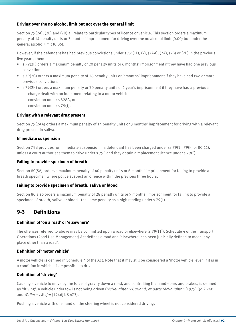#### **Driving over the no alcohol limit but not over the general limit**

Section 79(2A), (2B) and (2D) all relate to particular types of licence or vehicle. This section orders a maximum penalty of 14 penalty units or 3 months' imprisonment for driving over the no alcohol limit (0.00) but under the general alcohol limit (0.05).

However, if the defendant has had previous convictions under s 79 (1F), (2), (2AA), (2A), (2B) or (2D) in the previous five years, then:

- s 79(2F) orders a maximum penalty of 20 penalty units or 6 months' imprisonment if they have had one previous conviction
- s 79(2G) orders a maximum penalty of 28 penalty units or 9 months' imprisonment if they have had two or more previous convictions
- s 79(2H) orders a maximum penalty or 30 penalty units or 1 year's imprisonment if they have had a previous:
	- charge dealt with on indictment relating to a motor vehicle
	- conviction under s 328A, or
	- conviction under s 79(1).

#### **Driving with a relevant drug present**

Section 79(2AA) orders a maximum penalty of 14 penalty units or 3 months' imprisonment for driving with a relevant drug present in saliva.

#### **Immediate suspension**

Section 79B provides for immediate suspension if a defendant has been charged under ss 79(1), 79(F) or 80(11), unless a court authorises them to drive under s 79E and they obtain a replacement licence under s 79(F).

#### **Failing to provide specimen of breath**

Section 80(5A) orders a maximum penalty of 40 penalty units or 6 months' imprisonment for failing to provide a breath specimen where police suspect an offence within the previous three hours.

#### **Failing to provide specimen of breath, saliva or blood**

Section 80 also orders a maximum penalty of 28 penalty units or 9 months' imprisonment for failing to provide a specimen of breath, saliva or blood—the same penalty as a high reading under s 79(1).

## **9-3 Definitions**

#### **Definition of 'on a road' or 'elsewhere'**

The offences referred to above may be committed upon a road or elsewhere (s 79(11)). Schedule 4 of the Transport Operations (Road Use Management) Act defines a road and 'elsewhere' has been judicially defined to mean 'any place other than a road'.

#### **Definition of 'motor vehicle'**

A motor vehicle is defined in Schedule 4 of the Act. Note that it may still be considered a 'motor vehicle' even if it is in a condition in which it is impossible to drive.

#### **Definition of 'driving'**

Causing a vehicle to move by the force of gravity down a road, and controlling the handlebars and brakes, is defined as 'driving'. A vehicle under tow is not being driven (*McNaughtan v Garland; ex parte McNaughtan* [1979] Qd R 240 and *Wallace v Major* [1946] KB 473).

Pushing a vehicle with one hand on the steering wheel is not considered driving.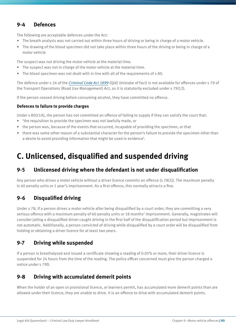## **9-4 Defences**

The following are acceptable defences under the Act:

- The breath analysis was not carried out within three hours of driving or being in charge of a motor vehicle.
- The drawing of the blood specimen did not take place within three hours of the driving or being in charge of a motor vehicle

The suspect was not driving the motor vehicle at the material time.

- The suspect was not in charge of the motor vehicle at the material time.
- The blood specimen was not dealt with in line with all of the requirements of s 80.

The defence under s 24 of the *[Criminal Code Act 1899](http://www.legislation.qld.gov.au/LEGISLTN/CURRENT/C/CriminCode.pdf)* (Qld) (mistake of fact) is not available for offences under s 79 of the Transport Operations (Road Use Management) Act, as it is statutorily excluded under s 79(12).

If the person ceased driving before consuming alcohol, they have committed no offence.

#### **Defences to failure to provide charges**

Under s 80(11A), the person has not committed an offence of failing to supply if they can satisfy the court that:

- 'the requisition to provide the specimen was not lawfully made, or
- the person was, because of the events that occurred, incapable of providing the specimen, or that
- there was some other reason of a substantial character for the person's failure to provide the specimen other than a desire to avoid providing information that might be used in evidence'.

# **C. Unlicensed, disqualified and suspended driving**

## **9-5 Unlicensed driving where the defendant is not under disqualification**

Any person who drives a motor vehicle without a driver licence commits an offence (s 78(1)). The maximum penalty is 40 penalty units or 1 year's imprisonment. As a first offence, this normally attracts a fine.

## **9-6 Disqualified driving**

Under s 78, if a person drives a motor vehicle after being disqualified by a court order, they are committing a very serious offence with a maximum penalty of 60 penalty units or 18 months' imprisonment. Generally, magistrates will consider jailing a disqualified driver caught driving in the first half of the disqualification period but imprisonment is not automatic. Additionally, a person convicted of driving while disqualified by a court order will be disqualified from holding or obtaining a driver licence for at least two years.

## **9-7 Driving while suspended**

If a person is breathalysed and issued a certificate showing a reading of 0.05% or more, their driver licence is suspended for 24 hours from the time of the reading. The police officer concerned must give the person charged a notice under s 79D.

# **9-8 Driving with accumulated demerit points**

When the holder of an open or provisional licence, or learners permit, has accumulated more demerit points than are allowed under their licence, they are unable to drive. It is an offence to drive with accumulated demerit points.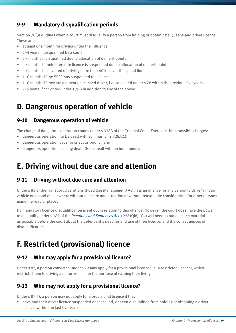# **9-9 Mandatory disqualification periods**

Section 78(3) outlines when a court must disqualify a person from holding or obtaining a Queensland driver licence. These are:

- at least one month for driving under the influence
- 2–5 years if disqualified by a court
- six months if disqualified due to allocation of demerit points
- six months if their interstate licence is suspended due to allocation of demerit points
- six months if convicted of driving more than 40 km over the speed limit
- 1–6 months if the SPER has suspended the licence
- 1–6 months if they are a repeat unlicensed driver, i.e. convicted under s 78 within the previous five years
- 2–5 years if convicted under s 79B in addition to any of the above.

# **D. Dangerous operation of vehicle**

#### **9-10 Dangerous operation of vehicle**

The charge of dangerous operation comes under s 328A of the Criminal Code. There are three possible charges:

- dangerous operation (to be dealt with summarily) (s 328A(1))
- dangerous operation causing grievous bodily harm
- dangerous operation causing death (to be dealt with on indictment).

# **E. Driving without due care and attention**

## **9-11 Driving without due care and attention**

Under s 83 of the Transport Operations (Road Use Management) Act, it is an offence for any person to drive 'a motor vehicle on a road or elsewhere without due care and attention or without reasonable consideration for other persons using the road or place'.

No mandatory licence disqualification is set out in relation to this offence. However, the court does have the power to disqualify under s 187 of the *[Penalties and Sentences Act 1992](http://www.legislation.qld.gov.au/LEGISLTN/CURRENT/P/PenaltASenA92.pdf)* (Qld). You will need to put as much material as possible before the court about the defendant's need for and use of their licence, and the consequences of disqualification.

# **F. Restricted (provisional) licence**

# **9-12 Who may apply for a provisional licence?**

Under s 87, a person convicted under s 79 may apply for a provisional licence (i.e. a restricted licence), which restricts them to driving a motor vehicle for the purpose of earning their living.

# **9-13 Who may not apply for a provisional licence?**

Under s 87(5), a person may not apply for a provisional licence if they:

• have had their driver licence suspended or cancelled, or been disqualified from holding or obtaining a driver licence, within the last five years